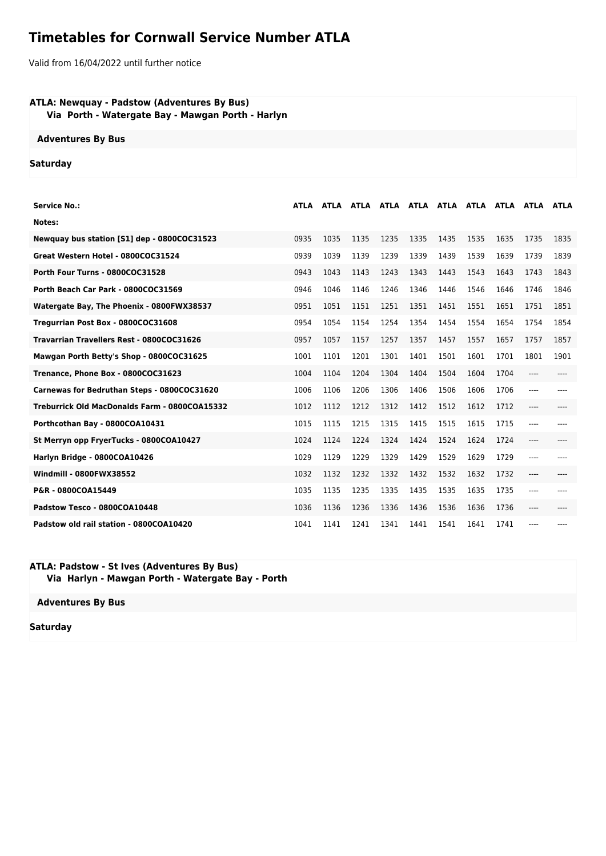## **Timetables for Cornwall Service Number ATLA**

Valid from 16/04/2022 until further notice

## **ATLA: Newquay - Padstow (Adventures By Bus) Via Porth - Watergate Bay - Mawgan Porth - Harlyn**

**Adventures By Bus**

## **Saturday**

| <b>Service No.:</b>                           | ATLA | <b>ATLA</b> |      |      |      |      |      |      |       |      |
|-----------------------------------------------|------|-------------|------|------|------|------|------|------|-------|------|
| Notes:                                        |      |             |      |      |      |      |      |      |       |      |
| Newquay bus station [S1] dep - 0800COC31523   | 0935 | 1035        | 1135 | 1235 | 1335 | 1435 | 1535 | 1635 | 1735  | 1835 |
| Great Western Hotel - 0800COC31524            | 0939 | 1039        | 1139 | 1239 | 1339 | 1439 | 1539 | 1639 | 1739  | 1839 |
| Porth Four Turns - 0800COC31528               | 0943 | 1043        | 1143 | 1243 | 1343 | 1443 | 1543 | 1643 | 1743  | 1843 |
| Porth Beach Car Park - 0800COC31569           | 0946 | 1046        | 1146 | 1246 | 1346 | 1446 | 1546 | 1646 | 1746  | 1846 |
| Watergate Bay, The Phoenix - 0800FWX38537     | 0951 | 1051        | 1151 | 1251 | 1351 | 1451 | 1551 | 1651 | 1751  | 1851 |
| Tregurrian Post Box - 0800COC31608            | 0954 | 1054        | 1154 | 1254 | 1354 | 1454 | 1554 | 1654 | 1754  | 1854 |
| Travarrian Travellers Rest - 0800COC31626     | 0957 | 1057        | 1157 | 1257 | 1357 | 1457 | 1557 | 1657 | 1757  | 1857 |
| Mawgan Porth Betty's Shop - 0800COC31625      | 1001 | 1101        | 1201 | 1301 | 1401 | 1501 | 1601 | 1701 | 1801  | 1901 |
| Trenance, Phone Box - 0800COC31623            | 1004 | 1104        | 1204 | 1304 | 1404 | 1504 | 1604 | 1704 | ----  |      |
| Carnewas for Bedruthan Steps - 0800COC31620   | 1006 | 1106        | 1206 | 1306 | 1406 | 1506 | 1606 | 1706 | ----  |      |
| Treburrick Old MacDonalds Farm - 0800COA15332 | 1012 | 1112        | 1212 | 1312 | 1412 | 1512 | 1612 | 1712 | $---$ |      |
| Porthcothan Bay - 0800COA10431                | 1015 | 1115        | 1215 | 1315 | 1415 | 1515 | 1615 | 1715 | ----  |      |
| St Merryn opp FryerTucks - 0800COA10427       | 1024 | 1124        | 1224 | 1324 | 1424 | 1524 | 1624 | 1724 | ----  |      |
| Harlyn Bridge - 0800COA10426                  | 1029 | 1129        | 1229 | 1329 | 1429 | 1529 | 1629 | 1729 | $---$ |      |
| Windmill - 0800FWX38552                       | 1032 | 1132        | 1232 | 1332 | 1432 | 1532 | 1632 | 1732 | ----  |      |
| P&R - 0800COA15449                            | 1035 | 1135        | 1235 | 1335 | 1435 | 1535 | 1635 | 1735 | ----  |      |
| Padstow Tesco - 0800COA10448                  | 1036 | 1136        | 1236 | 1336 | 1436 | 1536 | 1636 | 1736 | ----  |      |
| Padstow old rail station - 0800COA10420       | 1041 | 1141        | 1241 | 1341 | 1441 | 1541 | 1641 | 1741 | $---$ |      |

## **ATLA: Padstow - St Ives (Adventures By Bus) Via Harlyn - Mawgan Porth - Watergate Bay - Porth**

**Adventures By Bus**

**Saturday**